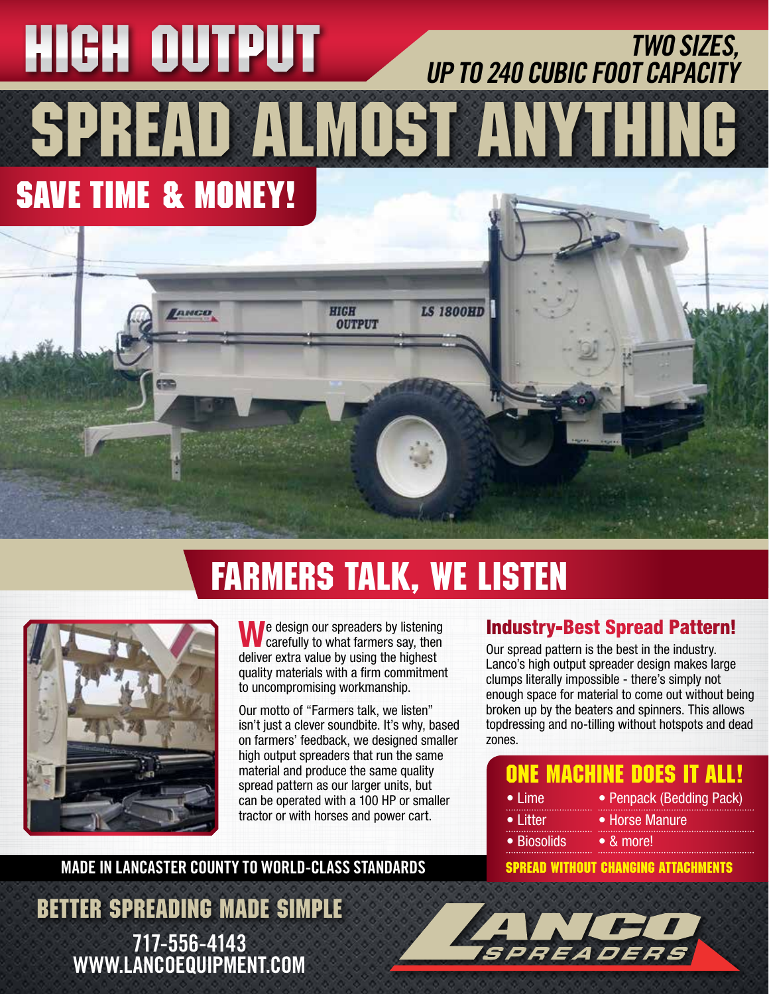# SPREAD ALMOST ANYTHING **SAVE TIME & MONEY!** TWO SIZES,<br>UP TO 240 CUBIC FOOT CAPACITY

### FARMERS TALK, WE LISTEN



We design our spreaders by listening<br>carefully to what farmers say, then deliver extra value by using the highest quality materials with a firm commitment to uncompromising workmanship.

**HIGH** 

**OUTPUT** 

**LS 1800HD** 

Our motto of "Farmers talk, we listen" isn't just a clever soundbite. It's why, based on farmers' feedback, we designed smaller high output spreaders that run the same material and produce the same quality spread pattern as our larger units, but can be operated with a 100 HP or smaller tractor or with horses and power cart.

#### MADE IN LANCASTER COUNTY TO WORLD-CLASS STANDARDS

BETTER SPREADING MADE SIMPLE 717-556-4143 WWW.LANCOEQUIPMENT.COM

листо

#### Industry-Best Spread Pattern!

Our spread pattern is the best in the industry. Lanco's high output spreader design makes large clumps literally impossible - there's simply not enough space for material to come out without being broken up by the beaters and spinners. This allows topdressing and no-tilling without hotspots and dead zones.

#### ONE MACHINE DOES IT ALL!

- Lime • Litter
- Horse Manure

• Penpack (Bedding Pack)

- Biosolids
	- & more!

SPREAD WITHOUT CHANGING ATTACHMENTS